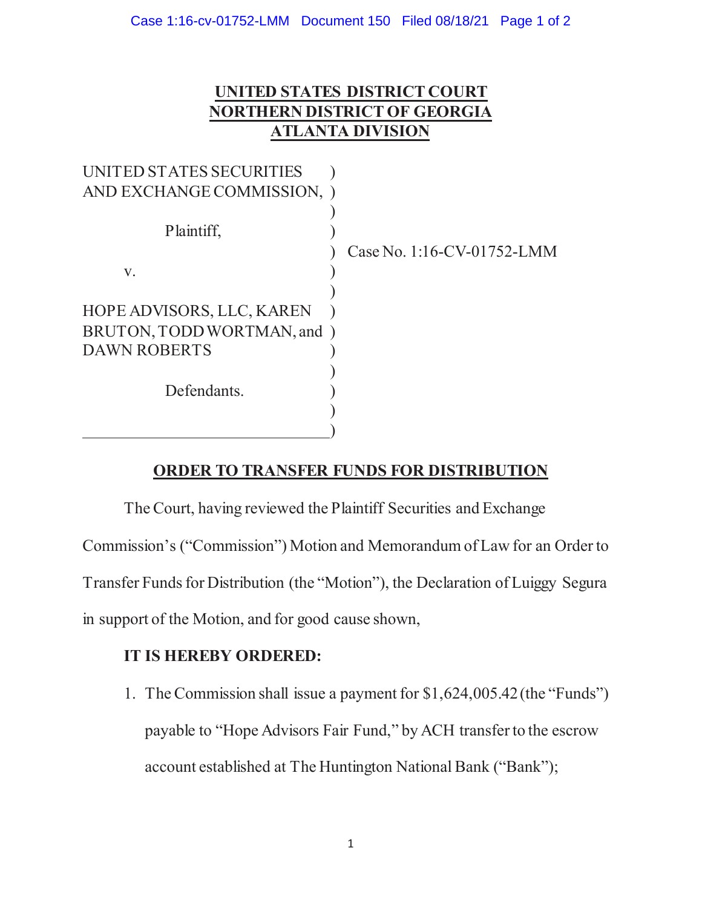## **UNITED STATES DISTRICT COURT NORTHERN DISTRICT OF GEORGIA ATLANTA DIVISION**

| UNITED STATES SECURITIES    |                            |
|-----------------------------|----------------------------|
| AND EXCHANGE COMMISSION, )  |                            |
| Plaintiff,                  | Case No. 1:16-CV-01752-LMM |
| V.                          |                            |
|                             |                            |
| HOPE ADVISORS, LLC, KAREN   |                            |
| BRUTON, TODD WORTMAN, and ) |                            |
| <b>DAWN ROBERTS</b>         |                            |
|                             |                            |
| Defendants.                 |                            |
|                             |                            |
|                             |                            |

## **ORDER TO TRANSFER FUNDS FOR DISTRIBUTION**

The Court, having reviewed the Plaintiff Securities and Exchange Commission's ("Commission") Motion and Memorandum of Law for an Order to Transfer Funds for Distribution (the "Motion"), the Declaration of Luiggy Segura in support of the Motion, and for good cause shown,

## **IT IS HEREBY ORDERED:**

1. The Commission shall issue a payment for \$1,624,005.42 (the "Funds") payable to "Hope Advisors Fair Fund," by ACH transfer to the escrow account established at The Huntington National Bank ("Bank");